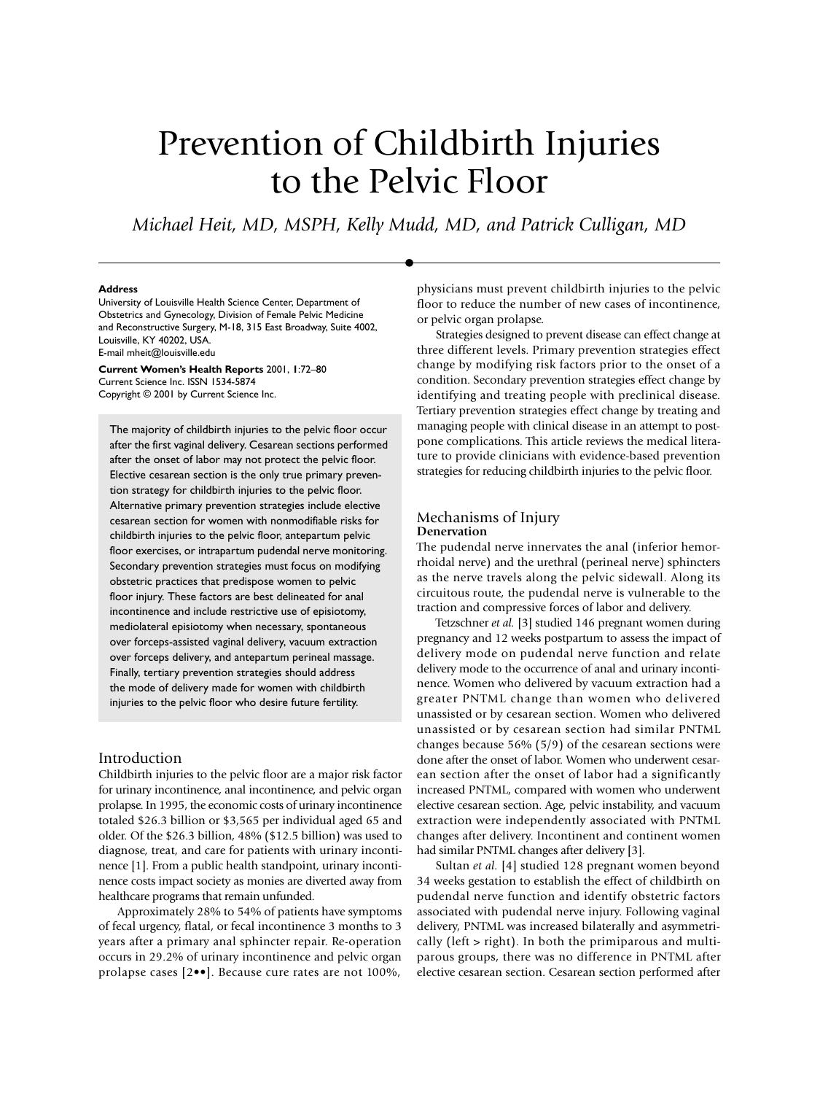# <span id="page-0-0"></span>Prevention of Childbirth Injuries to the Pelvic Floor

*Michael Heit, MD, MSPH, Kelly Mudd, MD, and Patrick Culligan, MD*

#### **Address**

University of Louisville Health Science Center, Department of Obstetrics and Gynecology, Division of Female Pelvic Medicine and Reconstructive Surgery, M-18, 315 East Broadway, Suite 4002, Louisville, KY 40202, USA. E-mail mheit@louisville.edu

**Current Women's Health Reports** 2001, **1**[:72–](#page-0-0)[80](#page-8-0) Current Science Inc. ISSN 1534-5874 Copyright © 2001 by Current Science Inc.

The majority of childbirth injuries to the pelvic floor occur after the first vaginal delivery. Cesarean sections performed after the onset of labor may not protect the pelvic floor. Elective cesarean section is the only true primary prevention strategy for childbirth injuries to the pelvic floor. Alternative primary prevention strategies include elective cesarean section for women with nonmodifiable risks for childbirth injuries to the pelvic floor, antepartum pelvic floor exercises, or intrapartum pudendal nerve monitoring. Secondary prevention strategies must focus on modifying obstetric practices that predispose women to pelvic floor injury. These factors are best delineated for anal incontinence and include restrictive use of episiotomy, mediolateral episiotomy when necessary, spontaneous over forceps-assisted vaginal delivery, vacuum extraction over forceps delivery, and antepartum perineal massage. Finally, tertiary prevention strategies should address the mode of delivery made for women with childbirth injuries to the pelvic floor who desire future fertility.

## Introduction

Childbirth injuries to the pelvic floor are a major risk factor for urinary incontinence, anal incontinence, and pelvic organ prolapse. In 1995, the economic costs of urinary incontinence totaled \$26.3 billion or \$3,565 per individual aged 65 and older. Of the \$26.3 billion, 48% (\$12.5 billion) was used to diagnose, treat, and care for patients with urinary incontinence [1]. From a public health standpoint, urinary incontinence costs impact society as monies are diverted away from healthcare programs that remain unfunded.

Approximately 28% to 54% of patients have symptoms of fecal urgency, flatal, or fecal incontinence 3 months to 3 years after a primary anal sphincter repair. Re-operation occurs in 29.2% of urinary incontinence and pelvic organ prolapse cases [2••]. Because cure rates are not 100%,

physicians must prevent childbirth injuries to the pelvic floor to reduce the number of new cases of incontinence, or pelvic organ prolapse.

Strategies designed to prevent disease can effect change at three different levels. Primary prevention strategies effect change by modifying risk factors prior to the onset of a condition. Secondary prevention strategies effect change by identifying and treating people with preclinical disease. Tertiary prevention strategies effect change by treating and managing people with clinical disease in an attempt to postpone complications. This article reviews the medical literature to provide clinicians with evidence-based prevention strategies for reducing childbirth injuries to the pelvic floor.

## Mechanisms of Injury **Denervation**

The pudendal nerve innervates the anal (inferior hemorrhoidal nerve) and the urethral (perineal nerve) sphincters as the nerve travels along the pelvic sidewall. Along its circuitous route, the pudendal nerve is vulnerable to the traction and compressive forces of labor and delivery.

Tetzschner *et al.* [3] studied 146 pregnant women during pregnancy and 12 weeks postpartum to assess the impact of delivery mode on pudendal nerve function and relate delivery mode to the occurrence of anal and urinary incontinence. Women who delivered by vacuum extraction had a greater PNTML change than women who delivered unassisted or by cesarean section. Women who delivered unassisted or by cesarean section had similar PNTML changes because 56% (5/9) of the cesarean sections were done after the onset of labor. Women who underwent cesarean section after the onset of labor had a significantly increased PNTML, compared with women who underwent elective cesarean section. Age, pelvic instability, and vacuum extraction were independently associated with PNTML changes after delivery. Incontinent and continent women had similar PNTML changes after delivery [3].

Sultan *et al.* [4] studied 128 pregnant women beyond 34 weeks gestation to establish the effect of childbirth on pudendal nerve function and identify obstetric factors associated with pudendal nerve injury. Following vaginal delivery, PNTML was increased bilaterally and asymmetrically (left > right). In both the primiparous and multiparous groups, there was no difference in PNTML after elective cesarean section. Cesarean section performed after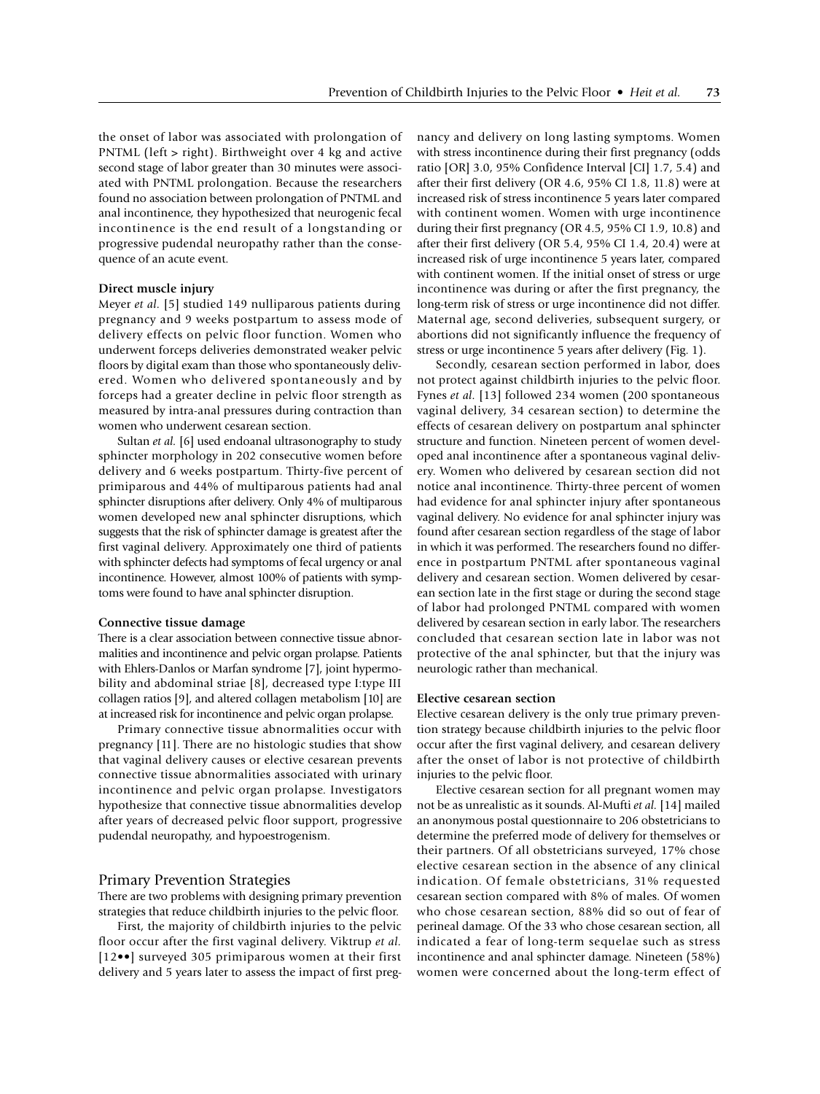the onset of labor was associated with prolongation of PNTML (left > right). Birthweight over 4 kg and active second stage of labor greater than 30 minutes were associated with PNTML prolongation. Because the researchers found no association between prolongation of PNTML and anal incontinence, they hypothesized that neurogenic fecal incontinence is the end result of a longstanding or progressive pudendal neuropathy rather than the consequence of an acute event.

#### **Direct muscle injury**

Meyer *et al.* [5] studied 149 nulliparous patients during pregnancy and 9 weeks postpartum to assess mode of delivery effects on pelvic floor function. Women who underwent forceps deliveries demonstrated weaker pelvic floors by digital exam than those who spontaneously delivered. Women who delivered spontaneously and by forceps had a greater decline in pelvic floor strength as measured by intra-anal pressures during contraction than women who underwent cesarean section.

Sultan *et al.* [6] used endoanal ultrasonography to study sphincter morphology in 202 consecutive women before delivery and 6 weeks postpartum. Thirty-five percent of primiparous and 44% of multiparous patients had anal sphincter disruptions after delivery. Only 4% of multiparous women developed new anal sphincter disruptions, which suggests that the risk of sphincter damage is greatest after the first vaginal delivery. Approximately one third of patients with sphincter defects had symptoms of fecal urgency or anal incontinence. However, almost 100% of patients with symptoms were found to have anal sphincter disruption.

#### **Connective tissue damage**

There is a clear association between connective tissue abnormalities and incontinence and pelvic organ prolapse. Patients with Ehlers-Danlos or Marfan syndrome [7], joint hypermobility and abdominal striae [8], decreased type I:type III collagen ratios [9], and altered collagen metabolism [10] are at increased risk for incontinence and pelvic organ prolapse.

Primary connective tissue abnormalities occur with pregnancy [11]. There are no histologic studies that show that vaginal delivery causes or elective cesarean prevents connective tissue abnormalities associated with urinary incontinence and pelvic organ prolapse. Investigators hypothesize that connective tissue abnormalities develop after years of decreased pelvic floor support, progressive pudendal neuropathy, and hypoestrogenism.

## Primary Prevention Strategies

There are two problems with designing primary prevention strategies that reduce childbirth injuries to the pelvic floor.

First, the majority of childbirth injuries to the pelvic floor occur after the first vaginal delivery. Viktrup *et al.* [12••] surveyed 305 primiparous women at their first delivery and 5 years later to assess the impact of first pregnancy and delivery on long lasting symptoms. Women with stress incontinence during their first pregnancy (odds ratio [OR] 3.0, 95% Confidence Interval [CI] 1.7, 5.4) and after their first delivery (OR 4.6, 95% CI 1.8, 11.8) were at increased risk of stress incontinence 5 years later compared with continent women. Women with urge incontinence during their first pregnancy (OR 4.5, 95% CI 1.9, 10.8) and after their first delivery (OR 5.4, 95% CI 1.4, 20.4) were at increased risk of urge incontinence 5 years later, compared with continent women. If the initial onset of stress or urge incontinence was during or after the first pregnancy, the long-term risk of stress or urge incontinence did not differ. Maternal age, second deliveries, subsequent surgery, or abortions did not significantly influence the frequency of stress or urge incontinence 5 years after delivery (Fig. 1).

Secondly, cesarean section performed in labor, does not protect against childbirth injuries to the pelvic floor. Fynes *et al.* [13] followed 234 women (200 spontaneous vaginal delivery, 34 cesarean section) to determine the effects of cesarean delivery on postpartum anal sphincter structure and function. Nineteen percent of women developed anal incontinence after a spontaneous vaginal delivery. Women who delivered by cesarean section did not notice anal incontinence. Thirty-three percent of women had evidence for anal sphincter injury after spontaneous vaginal delivery. No evidence for anal sphincter injury was found after cesarean section regardless of the stage of labor in which it was performed. The researchers found no difference in postpartum PNTML after spontaneous vaginal delivery and cesarean section. Women delivered by cesarean section late in the first stage or during the second stage of labor had prolonged PNTML compared with women delivered by cesarean section in early labor. The researchers concluded that cesarean section late in labor was not protective of the anal sphincter, but that the injury was neurologic rather than mechanical.

#### **Elective cesarean section**

Elective cesarean delivery is the only true primary prevention strategy because childbirth injuries to the pelvic floor occur after the first vaginal delivery, and cesarean delivery after the onset of labor is not protective of childbirth injuries to the pelvic floor.

Elective cesarean section for all pregnant women may not be as unrealistic as it sounds. Al-Mufti *et al.* [14] mailed an anonymous postal questionnaire to 206 obstetricians to determine the preferred mode of delivery for themselves or their partners. Of all obstetricians surveyed, 17% chose elective cesarean section in the absence of any clinical indication. Of female obstetricians, 31% requested cesarean section compared with 8% of males. Of women who chose cesarean section, 88% did so out of fear of perineal damage. Of the 33 who chose cesarean section, all indicated a fear of long-term sequelae such as stress incontinence and anal sphincter damage. Nineteen (58%) women were concerned about the long-term effect of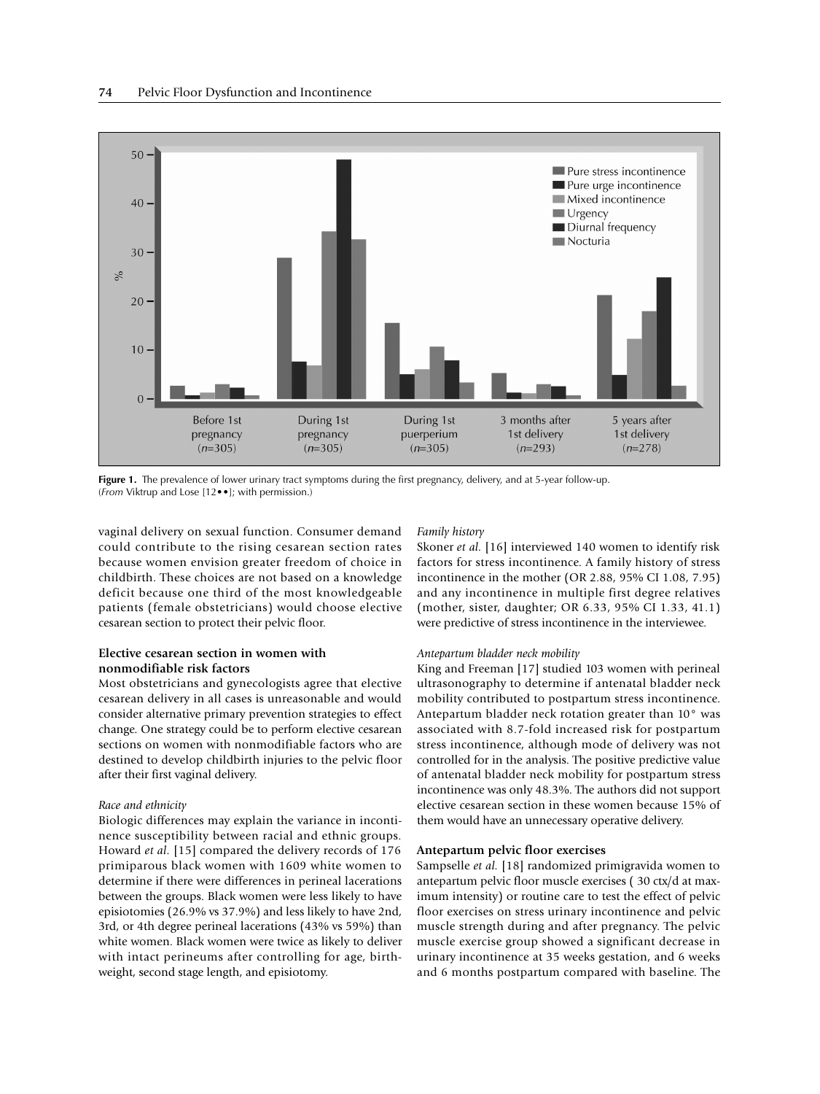

**Figure 1.** The prevalence of lower urinary tract symptoms during the first pregnancy, delivery, and at 5-year follow-up. (*From* Viktrup and Lose [12••]; with permission.)

vaginal delivery on sexual function. Consumer demand could contribute to the rising cesarean section rates because women envision greater freedom of choice in childbirth. These choices are not based on a knowledge deficit because one third of the most knowledgeable patients (female obstetricians) would choose elective cesarean section to protect their pelvic floor.

# **Elective cesarean section in women with nonmodifiable risk factors**

Most obstetricians and gynecologists agree that elective cesarean delivery in all cases is unreasonable and would consider alternative primary prevention strategies to effect change. One strategy could be to perform elective cesarean sections on women with nonmodifiable factors who are destined to develop childbirth injuries to the pelvic floor after their first vaginal delivery.

# *Race and ethnicity*

Biologic differences may explain the variance in incontinence susceptibility between racial and ethnic groups. Howard *et al.* [15] compared the delivery records of 176 primiparous black women with 1609 white women to determine if there were differences in perineal lacerations between the groups. Black women were less likely to have episiotomies (26.9% vs 37.9%) and less likely to have 2nd, 3rd, or 4th degree perineal lacerations (43% vs 59%) than white women. Black women were twice as likely to deliver with intact perineums after controlling for age, birthweight, second stage length, and episiotomy.

# *Family history*

Skoner *et al.* [16] interviewed 140 women to identify risk factors for stress incontinence. A family history of stress incontinence in the mother (OR 2.88, 95% CI 1.08, 7.95) and any incontinence in multiple first degree relatives (mother, sister, daughter; OR 6.33, 95% CI 1.33, 41.1) were predictive of stress incontinence in the interviewee.

# *Antepartum bladder neck mobility*

King and Freeman [17] studied 103 women with perineal ultrasonography to determine if antenatal bladder neck mobility contributed to postpartum stress incontinence. Antepartum bladder neck rotation greater than 10° was associated with 8.7-fold increased risk for postpartum stress incontinence, although mode of delivery was not controlled for in the analysis. The positive predictive value of antenatal bladder neck mobility for postpartum stress incontinence was only 48.3%. The authors did not support elective cesarean section in these women because 15% of them would have an unnecessary operative delivery.

# **Antepartum pelvic floor exercises**

Sampselle *et al.* [18] randomized primigravida women to antepartum pelvic floor muscle exercises ( 30 ctx/d at maximum intensity) or routine care to test the effect of pelvic floor exercises on stress urinary incontinence and pelvic muscle strength during and after pregnancy. The pelvic muscle exercise group showed a significant decrease in urinary incontinence at 35 weeks gestation, and 6 weeks and 6 months postpartum compared with baseline. The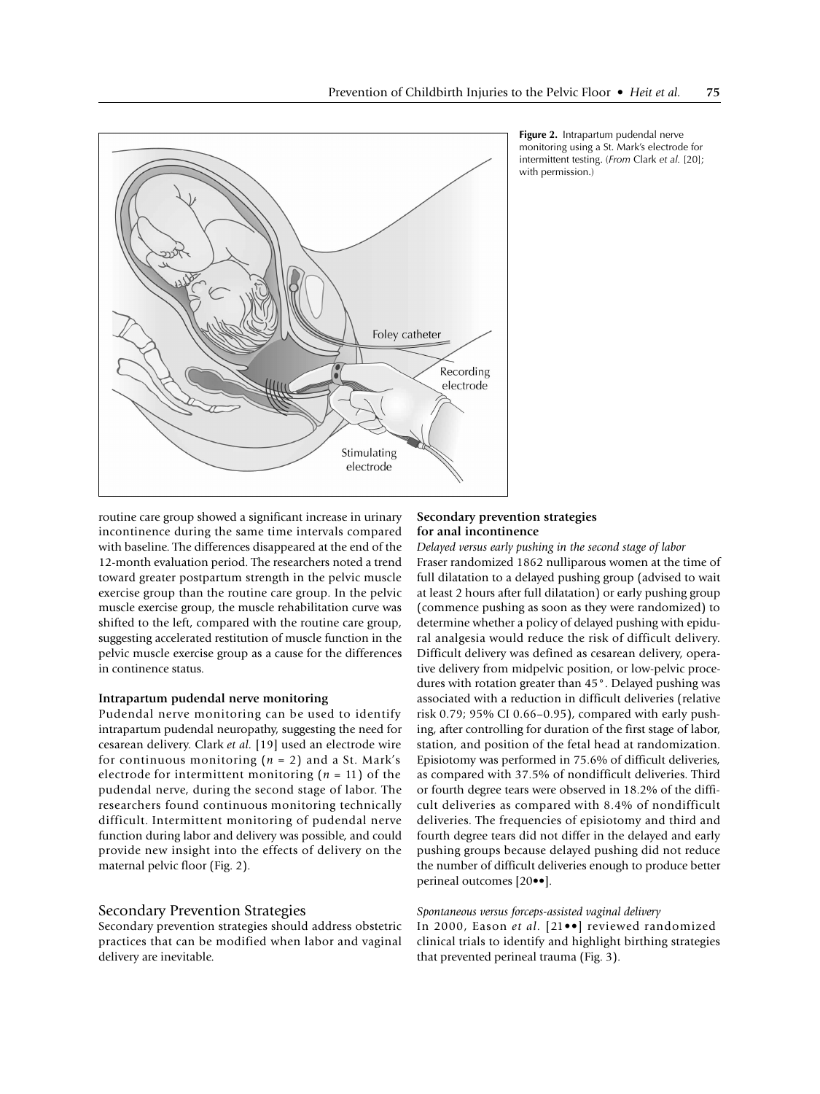



routine care group showed a significant increase in urinary incontinence during the same time intervals compared with baseline. The differences disappeared at the end of the 12-month evaluation period. The researchers noted a trend toward greater postpartum strength in the pelvic muscle exercise group than the routine care group. In the pelvic muscle exercise group, the muscle rehabilitation curve was shifted to the left, compared with the routine care group, suggesting accelerated restitution of muscle function in the pelvic muscle exercise group as a cause for the differences in continence status.

## **Intrapartum pudendal nerve monitoring**

Pudendal nerve monitoring can be used to identify intrapartum pudendal neuropathy, suggesting the need for cesarean delivery. Clark *et al.* [19] used an electrode wire for continuous monitoring (*n* = 2) and a St. Mark's electrode for intermittent monitoring  $(n = 11)$  of the pudendal nerve, during the second stage of labor. The researchers found continuous monitoring technically difficult. Intermittent monitoring of pudendal nerve function during labor and delivery was possible, and could provide new insight into the effects of delivery on the maternal pelvic floor (Fig. 2).

# Secondary Prevention Strategies

Secondary prevention strategies should address obstetric practices that can be modified when labor and vaginal delivery are inevitable.

## **Secondary prevention strategies for anal incontinence**

*Delayed versus early pushing in the second stage of labor* Fraser randomized 1862 nulliparous women at the time of full dilatation to a delayed pushing group (advised to wait at least 2 hours after full dilatation) or early pushing group (commence pushing as soon as they were randomized) to determine whether a policy of delayed pushing with epidural analgesia would reduce the risk of difficult delivery. Difficult delivery was defined as cesarean delivery, operative delivery from midpelvic position, or low-pelvic procedures with rotation greater than 45°. Delayed pushing was associated with a reduction in difficult deliveries (relative risk 0.79; 95% CI 0.66–0.95), compared with early pushing, after controlling for duration of the first stage of labor, station, and position of the fetal head at randomization. Episiotomy was performed in 75.6% of difficult deliveries, as compared with 37.5% of nondifficult deliveries. Third or fourth degree tears were observed in 18.2% of the difficult deliveries as compared with 8.4% of nondifficult deliveries. The frequencies of episiotomy and third and fourth degree tears did not differ in the delayed and early pushing groups because delayed pushing did not reduce the number of difficult deliveries enough to produce better perineal outcomes [20••].

## *Spontaneous versus forceps-assisted vaginal delivery*

In 2000, Eason *et al.* [21••] reviewed randomized clinical trials to identify and highlight birthing strategies that prevented perineal trauma (Fig. 3).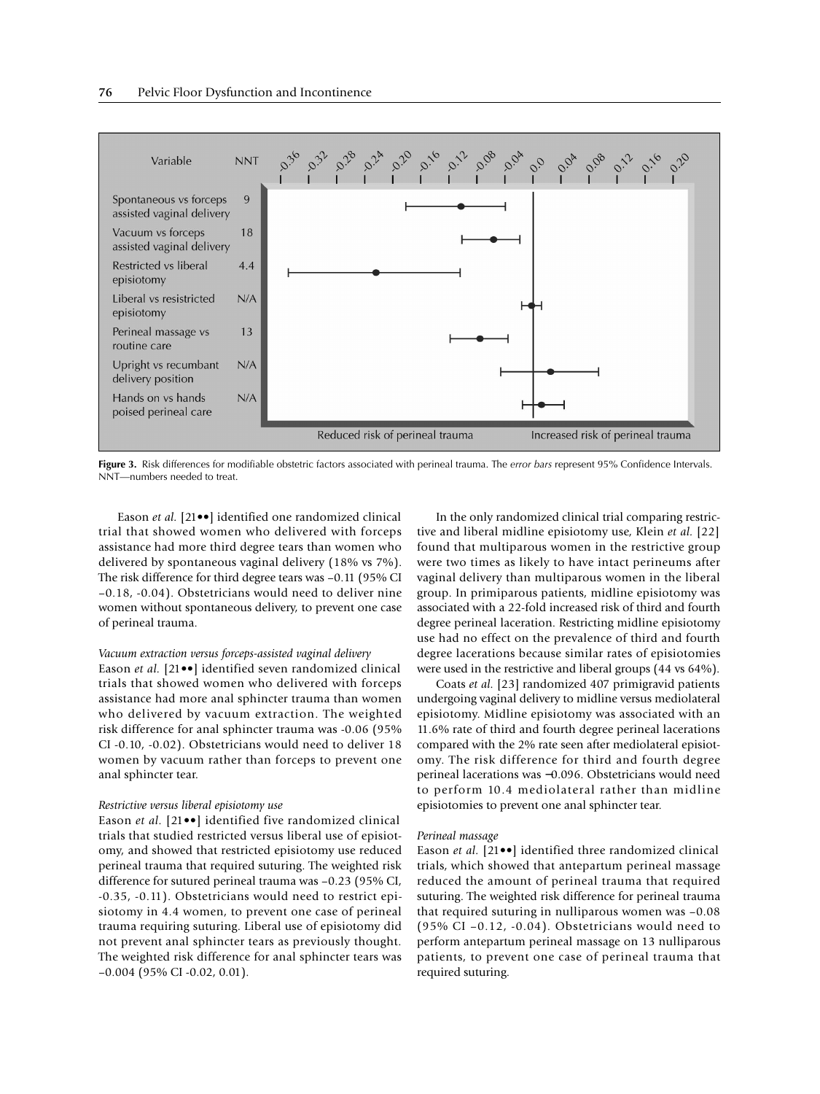

**Figure 3.** Risk differences for modifiable obstetric factors associated with perineal trauma. The *error bars* represent 95% Confidence Intervals. NNT—numbers needed to treat.

Eason *et al.* [21••] identified one randomized clinical trial that showed women who delivered with forceps assistance had more third degree tears than women who delivered by spontaneous vaginal delivery (18% vs 7%). The risk difference for third degree tears was –0.11 (95% CI –0.18, -0.04). Obstetricians would need to deliver nine women without spontaneous delivery, to prevent one case of perineal trauma.

## *Vacuum extraction versus forceps-assisted vaginal delivery*

Eason *et al.* [21••] identified seven randomized clinical trials that showed women who delivered with forceps assistance had more anal sphincter trauma than women who delivered by vacuum extraction. The weighted risk difference for anal sphincter trauma was -0.06 (95% CI -0.10, -0.02). Obstetricians would need to deliver 18 women by vacuum rather than forceps to prevent one anal sphincter tear.

#### *Restrictive versus liberal episiotomy use*

Eason *et al.* [21••] identified five randomized clinical trials that studied restricted versus liberal use of episiotomy, and showed that restricted episiotomy use reduced perineal trauma that required suturing. The weighted risk difference for sutured perineal trauma was –0.23 (95% CI, -0.35, -0.11). Obstetricians would need to restrict episiotomy in 4.4 women, to prevent one case of perineal trauma requiring suturing. Liberal use of episiotomy did not prevent anal sphincter tears as previously thought. The weighted risk difference for anal sphincter tears was –0.004 (95% CI -0.02, 0.01).

In the only randomized clinical trial comparing restrictive and liberal midline episiotomy use, Klein *et al.* [22] found that multiparous women in the restrictive group were two times as likely to have intact perineums after vaginal delivery than multiparous women in the liberal group. In primiparous patients, midline episiotomy was associated with a 22-fold increased risk of third and fourth degree perineal laceration. Restricting midline episiotomy use had no effect on the prevalence of third and fourth degree lacerations because similar rates of episiotomies were used in the restrictive and liberal groups (44 vs 64%).

Coats *et al.* [23] randomized 407 primigravid patients undergoing vaginal delivery to midline versus mediolateral episiotomy. Midline episiotomy was associated with an 11.6% rate of third and fourth degree perineal lacerations compared with the 2% rate seen after mediolateral episiotomy. The risk difference for third and fourth degree perineal lacerations was −0.096. Obstetricians would need to perform 10.4 mediolateral rather than midline episiotomies to prevent one anal sphincter tear.

#### *Perineal massage*

Eason *et al.* [21••] identified three randomized clinical trials, which showed that antepartum perineal massage reduced the amount of perineal trauma that required suturing. The weighted risk difference for perineal trauma that required suturing in nulliparous women was –0.08 (95% CI –0.12, -0.04). Obstetricians would need to perform antepartum perineal massage on 13 nulliparous patients, to prevent one case of perineal trauma that required suturing.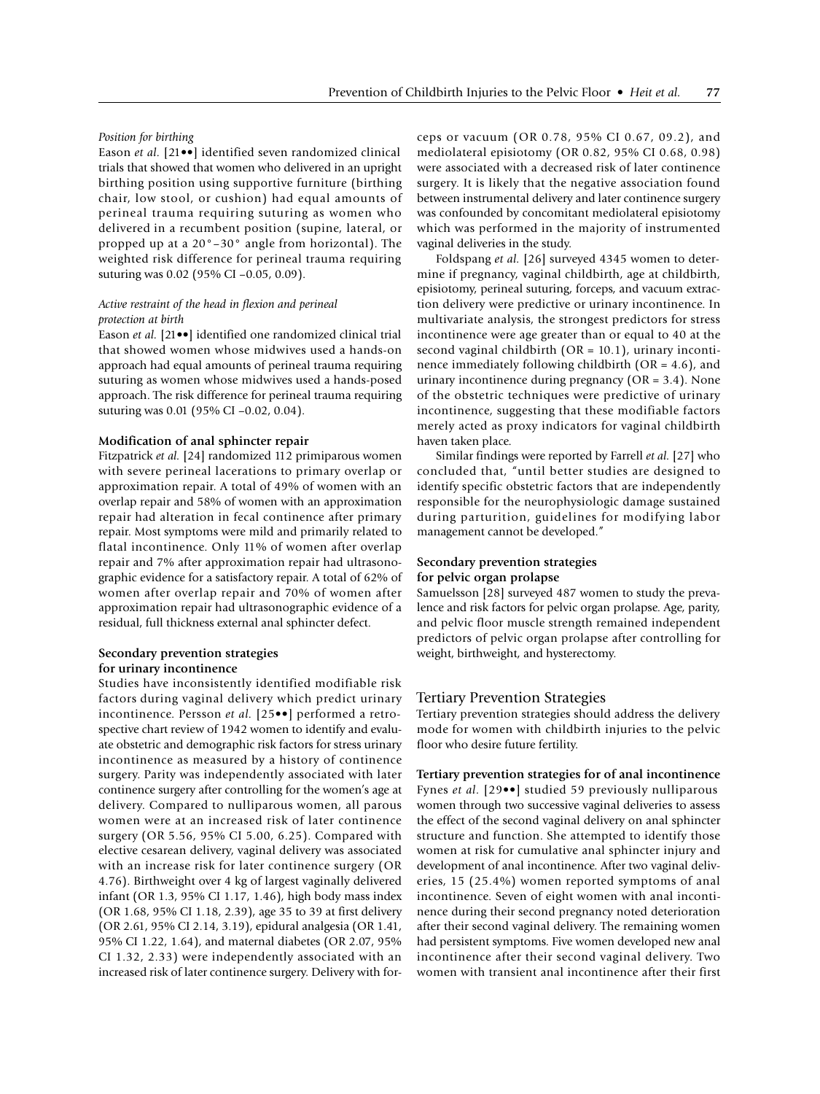#### *Position for birthing*

Eason *et al.* [21••] identified seven randomized clinical trials that showed that women who delivered in an upright birthing position using supportive furniture (birthing chair, low stool, or cushion) had equal amounts of perineal trauma requiring suturing as women who delivered in a recumbent position (supine, lateral, or propped up at a 20°–30° angle from horizontal). The weighted risk difference for perineal trauma requiring suturing was 0.02 (95% CI –0.05, 0.09).

## *Active restraint of the head in flexion and perineal protection at birth*

Eason *et al.* [21••] identified one randomized clinical trial that showed women whose midwives used a hands-on approach had equal amounts of perineal trauma requiring suturing as women whose midwives used a hands-posed approach. The risk difference for perineal trauma requiring suturing was 0.01 (95% CI –0.02, 0.04).

## **Modification of anal sphincter repair**

Fitzpatrick *et al.* [24] randomized 112 primiparous women with severe perineal lacerations to primary overlap or approximation repair. A total of 49% of women with an overlap repair and 58% of women with an approximation repair had alteration in fecal continence after primary repair. Most symptoms were mild and primarily related to flatal incontinence. Only 11% of women after overlap repair and 7% after approximation repair had ultrasonographic evidence for a satisfactory repair. A total of 62% of women after overlap repair and 70% of women after approximation repair had ultrasonographic evidence of a residual, full thickness external anal sphincter defect.

## **Secondary prevention strategies for urinary incontinence**

Studies have inconsistently identified modifiable risk factors during vaginal delivery which predict urinary incontinence. Persson *et al.* [25••] performed a retrospective chart review of 1942 women to identify and evaluate obstetric and demographic risk factors for stress urinary incontinence as measured by a history of continence surgery. Parity was independently associated with later continence surgery after controlling for the women's age at delivery. Compared to nulliparous women, all parous women were at an increased risk of later continence surgery (OR 5.56, 95% CI 5.00, 6.25). Compared with elective cesarean delivery, vaginal delivery was associated with an increase risk for later continence surgery (OR 4.76). Birthweight over 4 kg of largest vaginally delivered infant (OR 1.3, 95% CI 1.17, 1.46), high body mass index (OR 1.68, 95% CI 1.18, 2.39), age 35 to 39 at first delivery (OR 2.61, 95% CI 2.14, 3.19), epidural analgesia (OR 1.41, 95% CI 1.22, 1.64), and maternal diabetes (OR 2.07, 95% CI 1.32, 2.33) were independently associated with an increased risk of later continence surgery. Delivery with forceps or vacuum (OR 0.78, 95% CI 0.67, 09.2), and mediolateral episiotomy (OR 0.82, 95% CI 0.68, 0.98) were associated with a decreased risk of later continence surgery. It is likely that the negative association found between instrumental delivery and later continence surgery was confounded by concomitant mediolateral episiotomy which was performed in the majority of instrumented vaginal deliveries in the study.

Foldspang *et al.* [26] surveyed 4345 women to determine if pregnancy, vaginal childbirth, age at childbirth, episiotomy, perineal suturing, forceps, and vacuum extraction delivery were predictive or urinary incontinence. In multivariate analysis, the strongest predictors for stress incontinence were age greater than or equal to 40 at the second vaginal childbirth (OR = 10.1), urinary incontinence immediately following childbirth (OR = 4.6), and urinary incontinence during pregnancy (OR = 3.4). None of the obstetric techniques were predictive of urinary incontinence, suggesting that these modifiable factors merely acted as proxy indicators for vaginal childbirth haven taken place.

Similar findings were reported by Farrell *et al.* [27] who concluded that, "until better studies are designed to identify specific obstetric factors that are independently responsible for the neurophysiologic damage sustained during parturition, guidelines for modifying labor management cannot be developed."

## **Secondary prevention strategies for pelvic organ prolapse**

Samuelsson [28] surveyed 487 women to study the prevalence and risk factors for pelvic organ prolapse. Age, parity, and pelvic floor muscle strength remained independent predictors of pelvic organ prolapse after controlling for weight, birthweight, and hysterectomy.

## Tertiary Prevention Strategies

Tertiary prevention strategies should address the delivery mode for women with childbirth injuries to the pelvic floor who desire future fertility.

**Tertiary prevention strategies for of anal incontinence** Fynes *et al.* [29••] studied 59 previously nulliparous women through two successive vaginal deliveries to assess the effect of the second vaginal delivery on anal sphincter structure and function. She attempted to identify those women at risk for cumulative anal sphincter injury and development of anal incontinence. After two vaginal deliveries, 15 (25.4%) women reported symptoms of anal incontinence. Seven of eight women with anal incontinence during their second pregnancy noted deterioration after their second vaginal delivery. The remaining women had persistent symptoms. Five women developed new anal incontinence after their second vaginal delivery. Two women with transient anal incontinence after their first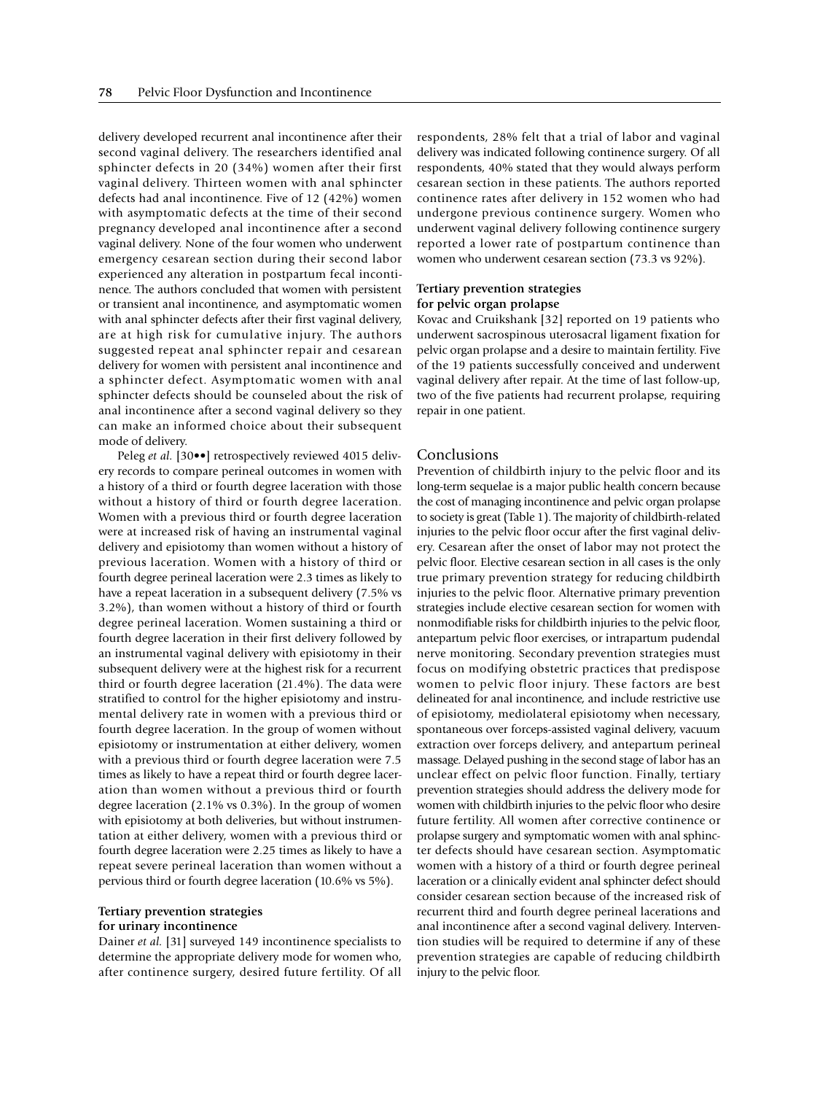delivery developed recurrent anal incontinence after their second vaginal delivery. The researchers identified anal sphincter defects in 20 (34%) women after their first vaginal delivery. Thirteen women with anal sphincter defects had anal incontinence. Five of 12 (42%) women with asymptomatic defects at the time of their second pregnancy developed anal incontinence after a second vaginal delivery. None of the four women who underwent emergency cesarean section during their second labor experienced any alteration in postpartum fecal incontinence. The authors concluded that women with persistent or transient anal incontinence, and asymptomatic women with anal sphincter defects after their first vaginal delivery, are at high risk for cumulative injury. The authors suggested repeat anal sphincter repair and cesarean delivery for women with persistent anal incontinence and a sphincter defect. Asymptomatic women with anal sphincter defects should be counseled about the risk of anal incontinence after a second vaginal delivery so they can make an informed choice about their subsequent mode of delivery.

Peleg *et al.* [30••] retrospectively reviewed 4015 delivery records to compare perineal outcomes in women with a history of a third or fourth degree laceration with those without a history of third or fourth degree laceration. Women with a previous third or fourth degree laceration were at increased risk of having an instrumental vaginal delivery and episiotomy than women without a history of previous laceration. Women with a history of third or fourth degree perineal laceration were 2.3 times as likely to have a repeat laceration in a subsequent delivery (7.5% vs 3.2%), than women without a history of third or fourth degree perineal laceration. Women sustaining a third or fourth degree laceration in their first delivery followed by an instrumental vaginal delivery with episiotomy in their subsequent delivery were at the highest risk for a recurrent third or fourth degree laceration (21.4%). The data were stratified to control for the higher episiotomy and instrumental delivery rate in women with a previous third or fourth degree laceration. In the group of women without episiotomy or instrumentation at either delivery, women with a previous third or fourth degree laceration were 7.5 times as likely to have a repeat third or fourth degree laceration than women without a previous third or fourth degree laceration (2.1% vs 0.3%). In the group of women with episiotomy at both deliveries, but without instrumentation at either delivery, women with a previous third or fourth degree laceration were 2.25 times as likely to have a repeat severe perineal laceration than women without a pervious third or fourth degree laceration (10.6% vs 5%).

## **Tertiary prevention strategies for urinary incontinence**

Dainer *et al.* [31] surveyed 149 incontinence specialists to determine the appropriate delivery mode for women who, after continence surgery, desired future fertility. Of all respondents, 28% felt that a trial of labor and vaginal delivery was indicated following continence surgery. Of all respondents, 40% stated that they would always perform cesarean section in these patients. The authors reported continence rates after delivery in 152 women who had undergone previous continence surgery. Women who underwent vaginal delivery following continence surgery reported a lower rate of postpartum continence than women who underwent cesarean section (73.3 vs 92%).

## **Tertiary prevention strategies for pelvic organ prolapse**

Kovac and Cruikshank [32] reported on 19 patients who underwent sacrospinous uterosacral ligament fixation for pelvic organ prolapse and a desire to maintain fertility. Five of the 19 patients successfully conceived and underwent vaginal delivery after repair. At the time of last follow-up, two of the five patients had recurrent prolapse, requiring repair in one patient.

# Conclusions

Prevention of childbirth injury to the pelvic floor and its long-term sequelae is a major public health concern because the cost of managing incontinence and pelvic organ prolapse to society is great (Table 1). The majority of childbirth-related injuries to the pelvic floor occur after the first vaginal delivery. Cesarean after the onset of labor may not protect the pelvic floor. Elective cesarean section in all cases is the only true primary prevention strategy for reducing childbirth injuries to the pelvic floor. Alternative primary prevention strategies include elective cesarean section for women with nonmodifiable risks for childbirth injuries to the pelvic floor, antepartum pelvic floor exercises, or intrapartum pudendal nerve monitoring. Secondary prevention strategies must focus on modifying obstetric practices that predispose women to pelvic floor injury. These factors are best delineated for anal incontinence, and include restrictive use of episiotomy, mediolateral episiotomy when necessary, spontaneous over forceps-assisted vaginal delivery, vacuum extraction over forceps delivery, and antepartum perineal massage. Delayed pushing in the second stage of labor has an unclear effect on pelvic floor function. Finally, tertiary prevention strategies should address the delivery mode for women with childbirth injuries to the pelvic floor who desire future fertility. All women after corrective continence or prolapse surgery and symptomatic women with anal sphincter defects should have cesarean section. Asymptomatic women with a history of a third or fourth degree perineal laceration or a clinically evident anal sphincter defect should consider cesarean section because of the increased risk of recurrent third and fourth degree perineal lacerations and anal incontinence after a second vaginal delivery. Intervention studies will be required to determine if any of these prevention strategies are capable of reducing childbirth injury to the pelvic floor.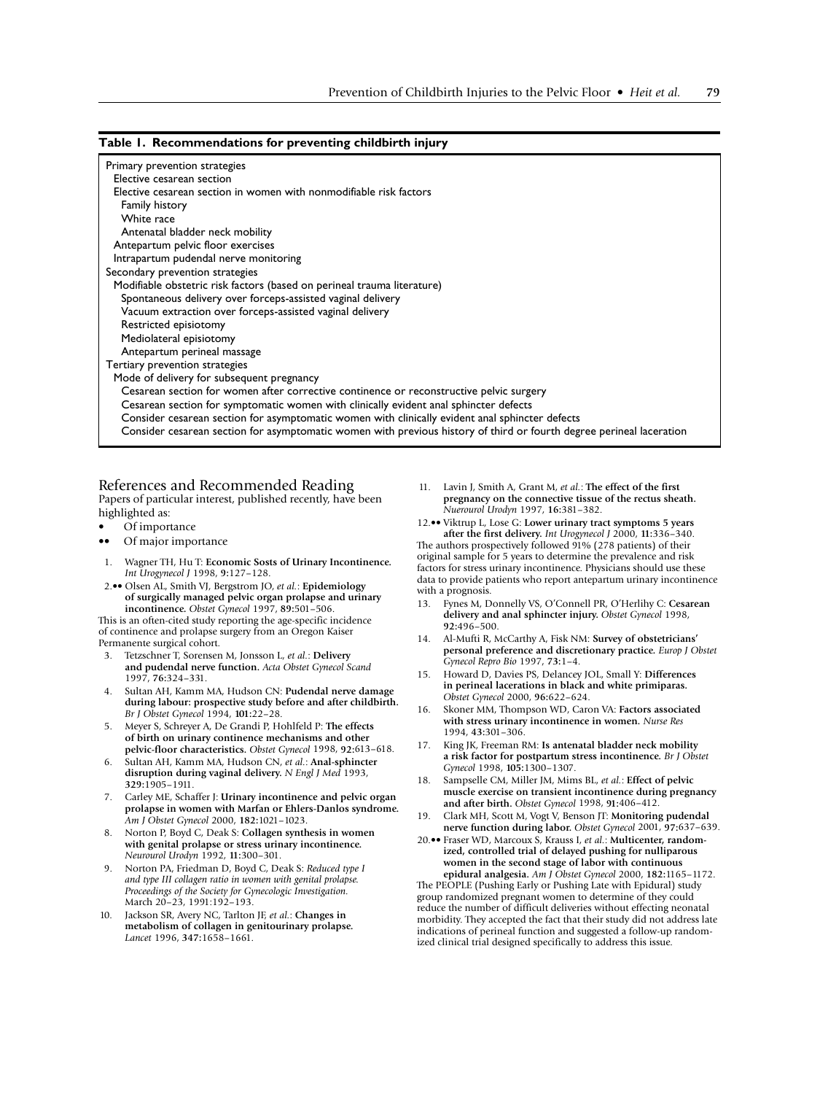## **Table 1. Recommendations for preventing childbirth injury**

| Primary prevention strategies<br>Elective cesarean section                                                           |
|----------------------------------------------------------------------------------------------------------------------|
| Elective cesarean section in women with nonmodifiable risk factors                                                   |
| Family history                                                                                                       |
| White race                                                                                                           |
| Antenatal bladder neck mobility                                                                                      |
| Antepartum pelvic floor exercises                                                                                    |
| Intrapartum pudendal nerve monitoring                                                                                |
| Secondary prevention strategies                                                                                      |
| Modifiable obstetric risk factors (based on perineal trauma literature)                                              |
| Spontaneous delivery over forceps-assisted vaginal delivery                                                          |
| Vacuum extraction over forceps-assisted vaginal delivery                                                             |
| Restricted episiotomy                                                                                                |
| Mediolateral episiotomy                                                                                              |
| Antepartum perineal massage                                                                                          |
| Tertiary prevention strategies                                                                                       |
| Mode of delivery for subsequent pregnancy                                                                            |
| Cesarean section for women after corrective continence or reconstructive pelvic surgery                              |
| Cesarean section for symptomatic women with clinically evident anal sphincter defects                                |
| Consider cesarean section for asymptomatic women with clinically evident anal sphincter defects                      |
| Consider cesarean section for asymptomatic women with previous history of third or fourth degree perineal laceration |

## References and Recommended Reading Papers of particular interest, published recently, have been

highlighted as:

- Of importance
- •• Of major importance
- 1. Wagner TH, Hu T: **Economic Sosts of Urinary Incontinence.**  *Int Urogynecol J* 1998, **9:**127–128.
- 2.•• Olsen AL, Smith VJ, Bergstrom JO, *et al.*: **Epidemiology of surgically managed pelvic organ prolapse and urinary incontinence.** *Obstet Gynecol* 1997, **89:**501–506.

This is an often-cited study reporting the age-specific incidence of continence and prolapse surgery from an Oregon Kaiser Permanente surgical cohort.

- 3. Tetzschner T, Sorensen M, Jonsson L, *et al.*: **Delivery and pudendal nerve function.** *Acta Obstet Gynecol Scand*  1997, **76:**324–331.
- 4. Sultan AH, Kamm MA, Hudson CN: **Pudendal nerve damage during labour: prospective study before and after childbirth.**  *Br J Obstet Gynecol* 1994, **101:**22–28.
- 5. Meyer S, Schreyer A, De Grandi P, Hohlfeld P: **The effects of birth on urinary continence mechanisms and other pelvic-floor characteristics.** *Obstet Gynecol* 1998, **92:**613–618.
- 6. Sultan AH, Kamm MA, Hudson CN, *et al.*: **Anal-sphincter disruption during vaginal delivery.** *N Engl J Med* 1993, **329:**1905–1911.
- 7. Carley ME, Schaffer J: **Urinary incontinence and pelvic organ prolapse in women with Marfan or Ehlers-Danlos syndrome.**  *Am J Obstet Gynecol* 2000, **182:**1021–1023.
- 8. Norton P, Boyd C, Deak S: **Collagen synthesis in women with genital prolapse or stress urinary incontinence.**  *Neurourol Urodyn* 1992, **11:**300–301.
- 9. Norton PA, Friedman D, Boyd C, Deak S: *Reduced type I and type III collagen ratio in women with genital prolapse. Proceedings of the Society for Gynecologic Investigation.*  March 20–23, 1991:192–193.
- 10. Jackson SR, Avery NC, Tarlton JF, *et al.*: **Changes in metabolism of collagen in genitourinary prolapse.**  *Lancet* 1996, **347:**1658–1661.
- 11. Lavin J, Smith A, Grant M, *et al.*: **The effect of the first pregnancy on the connective tissue of the rectus sheath.**  *Nuerourol Urodyn* 1997, **16:**381–382.
- 12.•• Viktrup L, Lose G: **Lower urinary tract symptoms 5 years after the first delivery.** *Int Urogynecol J* 2000, **11:**336–340.

The authors prospectively followed 91% (278 patients) of their original sample for 5 years to determine the prevalence and risk factors for stress urinary incontinence. Physicians should use these data to provide patients who report antepartum urinary incontinence with a prognosis.

- 13. Fynes M, Donnelly VS, O'Connell PR, O'Herlihy C: **Cesarean delivery and anal sphincter injury.** *Obstet Gynecol* 1998, **92:**496–500.
- 14. Al-Mufti R, McCarthy A, Fisk NM: **Survey of obstetricians' personal preference and discretionary practice.** *Europ J Obstet Gynecol Repro Bio* 1997, **73:**1–4.
- 15. Howard D, Davies PS, Delancey JOL, Small Y: **Differences in perineal lacerations in black and white primiparas.**  *Obstet Gynecol* 2000, **96:**622–624.
- 16. Skoner MM, Thompson WD, Caron VA: **Factors associated with stress urinary incontinence in women.** *Nurse Res*  1994, **43:**301–306.
- 17. King JK, Freeman RM: **Is antenatal bladder neck mobility a risk factor for postpartum stress incontinence.** *Br J Obstet Gynecol* 1998, **105:**1300–1307.
- 18. Sampselle CM, Miller JM, Mims BL, *et al.*: **Effect of pelvic muscle exercise on transient incontinence during pregnancy and after birth.** *Obstet Gynecol* 1998, **91:**406–412.
- 19. Clark MH, Scott M, Vogt V, Benson JT: **Monitoring pudendal nerve function during labor.** *Obstet Gynecol* 2001, **97:**637–639.
- 20.•• Fraser WD, Marcoux S, Krauss I, *et al.*: **Multicenter, randomized, controlled trial of delayed pushing for nulliparous women in the second stage of labor with continuous epidural analgesia.** *Am J Obstet Gynecol* 2000, **182:**1165–1172. The PEOPLE (Pushing Early or Pushing Late with Epidural) study group randomized pregnant women to determine of they could

reduce the number of difficult deliveries without effecting neonatal morbidity. They accepted the fact that their study did not address late indications of perineal function and suggested a follow-up randomized clinical trial designed specifically to address this issue.